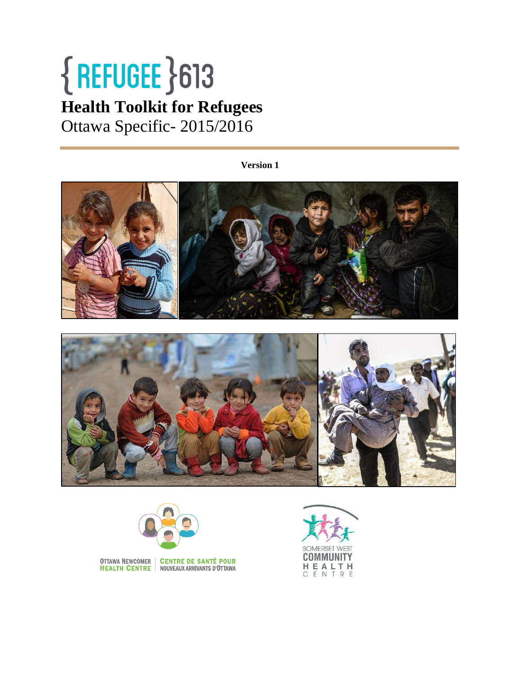# ${REFUGEE}$  }613 **Health Toolkit for Refugees** Ottawa Specific- 2015/2016

**Version 1**







**OTTAWA NEWCOMER | CENTRE DE SANTÉ POUR<br>HEALTH CENTRE | NOUVEAUX ARRIVANTS D'OTTAWA** 

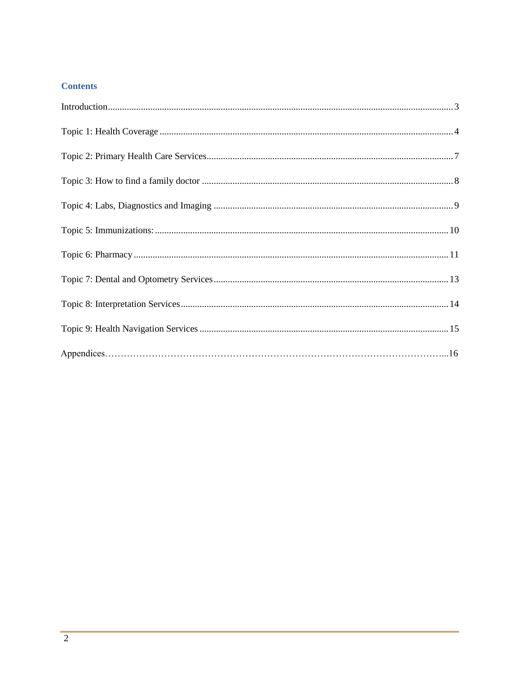## **Contents**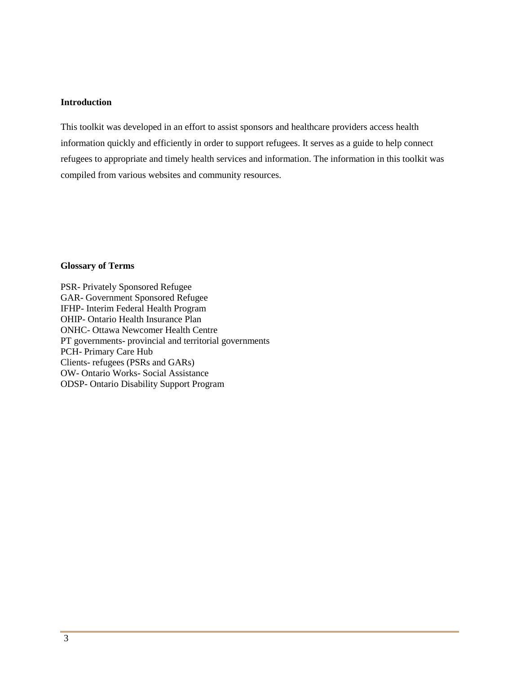#### <span id="page-2-0"></span>**Introduction**

This toolkit was developed in an effort to assist sponsors and healthcare providers access health information quickly and efficiently in order to support refugees. It serves as a guide to help connect refugees to appropriate and timely health services and information. The information in this toolkit was compiled from various websites and community resources.

#### **Glossary of Terms**

PSR- Privately Sponsored Refugee GAR- Government Sponsored Refugee IFHP- Interim Federal Health Program OHIP- Ontario Health Insurance Plan ONHC- Ottawa Newcomer Health Centre PT governments- provincial and territorial governments PCH- Primary Care Hub Clients- refugees (PSRs and GARs) OW- Ontario Works- Social Assistance ODSP- Ontario Disability Support Program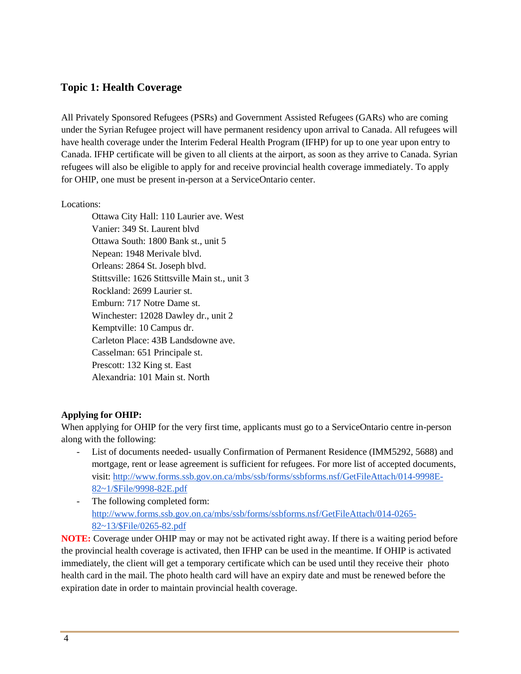# <span id="page-3-0"></span>**Topic 1: Health Coverage**

All Privately Sponsored Refugees (PSRs) and Government Assisted Refugees (GARs) who are coming under the Syrian Refugee project will have permanent residency upon arrival to Canada. All refugees will have health coverage under the Interim Federal Health Program (IFHP) for up to one year upon entry to Canada. IFHP certificate will be given to all clients at the airport, as soon as they arrive to Canada. Syrian refugees will also be eligible to apply for and receive provincial health coverage immediately. To apply for OHIP, one must be present in-person at a ServiceOntario center.

Locations:

Ottawa City Hall: 110 Laurier ave. West Vanier: 349 St. Laurent blvd Ottawa South: 1800 Bank st., unit 5 Nepean: 1948 Merivale blvd. Orleans: 2864 St. Joseph blvd. Stittsville: 1626 Stittsville Main st., unit 3 Rockland: 2699 Laurier st. Emburn: 717 Notre Dame st. Winchester: 12028 Dawley dr., unit 2 Kemptville: 10 Campus dr. Carleton Place: 43B Landsdowne ave. Casselman: 651 Principale st. Prescott: 132 King st. East Alexandria: 101 Main st. North

## **Applying for OHIP:**

When applying for OHIP for the very first time, applicants must go to a ServiceOntario centre in-person along with the following:

- List of documents needed- usually Confirmation of Permanent Residence (IMM5292, 5688) and mortgage, rent or lease agreement is sufficient for refugees. For more list of accepted documents, visit: [http://www.forms.ssb.gov.on.ca/mbs/ssb/forms/ssbforms.nsf/GetFileAttach/014-9998E-](http://www.forms.ssb.gov.on.ca/mbs/ssb/forms/ssbforms.nsf/GetFileAttach/014-9998E-82~1/$File/9998-82E.pdf)[82~1/\\$File/9998-82E.pdf](http://www.forms.ssb.gov.on.ca/mbs/ssb/forms/ssbforms.nsf/GetFileAttach/014-9998E-82~1/$File/9998-82E.pdf)
- The following completed form: [http://www.forms.ssb.gov.on.ca/mbs/ssb/forms/ssbforms.nsf/GetFileAttach/014-0265-](http://www.forms.ssb.gov.on.ca/mbs/ssb/forms/ssbforms.nsf/GetFileAttach/014-0265-82~13/$File/0265-82.pdf) [82~13/\\$File/0265-82.pdf](http://www.forms.ssb.gov.on.ca/mbs/ssb/forms/ssbforms.nsf/GetFileAttach/014-0265-82~13/$File/0265-82.pdf)

**NOTE:** Coverage under OHIP may or may not be activated right away. If there is a waiting period before the provincial health coverage is activated, then IFHP can be used in the meantime. If OHIP is activated immediately, the client will get a temporary certificate which can be used until they receive their photo health card in the mail. The photo health card will have an expiry date and must be renewed before the expiration date in order to maintain provincial health coverage.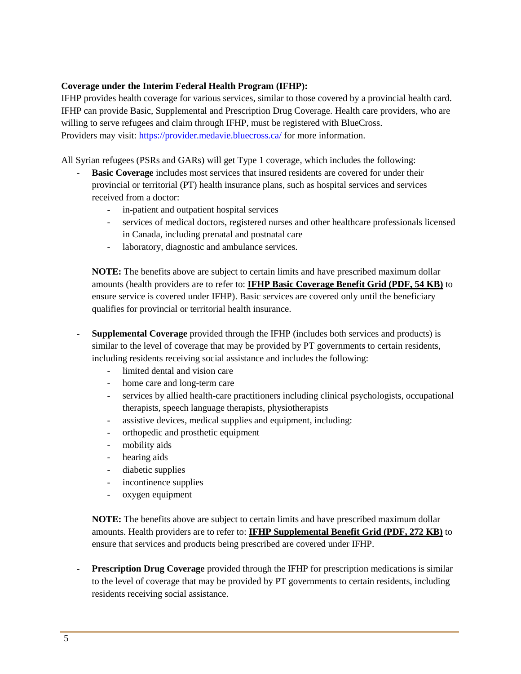## **Coverage under the Interim Federal Health Program (IFHP):**

IFHP provides health coverage for various services, similar to those covered by a provincial health card. IFHP can provide Basic, Supplemental and Prescription Drug Coverage. Health care providers, who are willing to serve refugees and claim through IFHP, must be registered with BlueCross. Providers may visit:<https://provider.medavie.bluecross.ca/> for more information.

All Syrian refugees (PSRs and GARs) will get Type 1 coverage, which includes the following:

- **Basic Coverage** includes most services that insured residents are covered for under their provincial or territorial (PT) health insurance plans, such as hospital services and services received from a doctor:
	- in-patient and outpatient hospital services
	- services of medical doctors, registered nurses and other healthcare professionals licensed in Canada, including prenatal and postnatal care
	- laboratory, diagnostic and ambulance services.

**NOTE:** The benefits above are subject to certain limits and have prescribed maximum dollar amounts (health providers are to refer to: **IFHP Basic Coverage Benefit Grid (PDF, 54 KB)** to ensure service is covered under IFHP). Basic services are covered only until the beneficiary qualifies for provincial or territorial health insurance.

- **Supplemental Coverage** provided through the IFHP (includes both services and products) is similar to the level of coverage that may be provided by PT governments to certain residents, including residents receiving social assistance and includes the following:
	- limited dental and vision care
	- home care and long-term care
	- services by allied health-care practitioners including clinical psychologists, occupational therapists, speech language therapists, physiotherapists
	- assistive devices, medical supplies and equipment, including:
	- orthopedic and prosthetic equipment
	- mobility aids
	- hearing aids
	- diabetic supplies
	- incontinence supplies
	- oxygen equipment

**NOTE:** The benefits above are subject to certain limits and have prescribed maximum dollar amounts. Health providers are to refer to: **[IFHP Supplemental Benefit Grid \(PDF, 272](https://www.medavie.bluecross.ca/cs/BlobServer?blobcol=urldata&blobtable=MungoBlobs&blobheadervalue2=abinary;+charset=UTF-8&blobheadername2=MDT-Type&blobkey=id&blobwhere=1187213213536&blobheader=application/pdf) KB)** to ensure that services and products being prescribed are covered under IFHP.

**Prescription Drug Coverage** provided through the IFHP for prescription medications is similar to the level of coverage that may be provided by PT governments to certain residents, including residents receiving social assistance.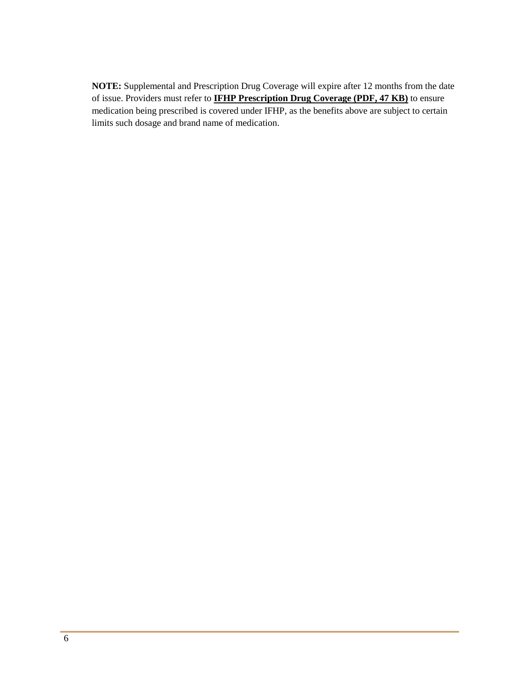**NOTE:** Supplemental and Prescription Drug Coverage will expire after 12 months from the date of issue. Providers must refer to **[IFHP Prescription Drug Coverage \(PDF, 47](https://www.medavie.bluecross.ca/cs/BlobServer?blobcol=urldata&blobtable=MungoBlobs&blobheadervalue2=abinary;+charset=UTF-8&blobheadername2=MDT-Type&blobkey=id&blobwhere=1187213344875&blobheader=application/pdf) KB)** to ensure medication being prescribed is covered under IFHP, as the benefits above are subject to certain limits such dosage and brand name of medication.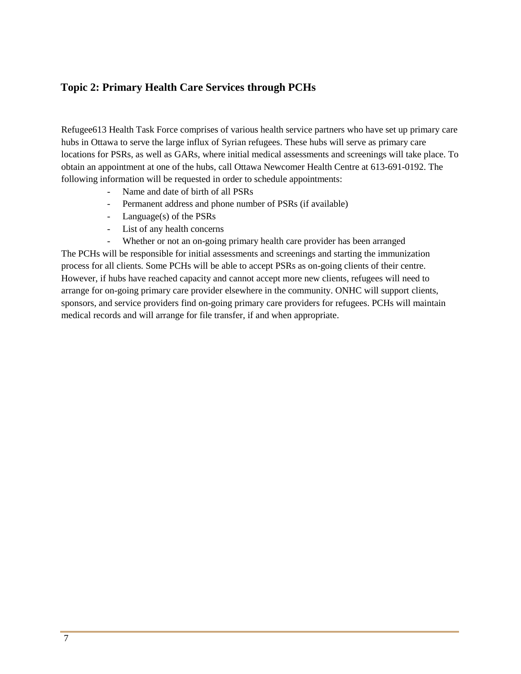# <span id="page-6-0"></span>**Topic 2: Primary Health Care Services through PCHs**

Refugee613 Health Task Force comprises of various health service partners who have set up primary care hubs in Ottawa to serve the large influx of Syrian refugees. These hubs will serve as primary care locations for PSRs, as well as GARs, where initial medical assessments and screenings will take place. To obtain an appointment at one of the hubs, call Ottawa Newcomer Health Centre at 613-691-0192. The following information will be requested in order to schedule appointments:

- Name and date of birth of all PSRs
- Permanent address and phone number of PSRs (if available)
- Language(s) of the PSRs
- List of any health concerns

- Whether or not an on-going primary health care provider has been arranged The PCHs will be responsible for initial assessments and screenings and starting the immunization process for all clients. Some PCHs will be able to accept PSRs as on-going clients of their centre. However, if hubs have reached capacity and cannot accept more new clients, refugees will need to arrange for on-going primary care provider elsewhere in the community. ONHC will support clients, sponsors, and service providers find on-going primary care providers for refugees. PCHs will maintain medical records and will arrange for file transfer, if and when appropriate.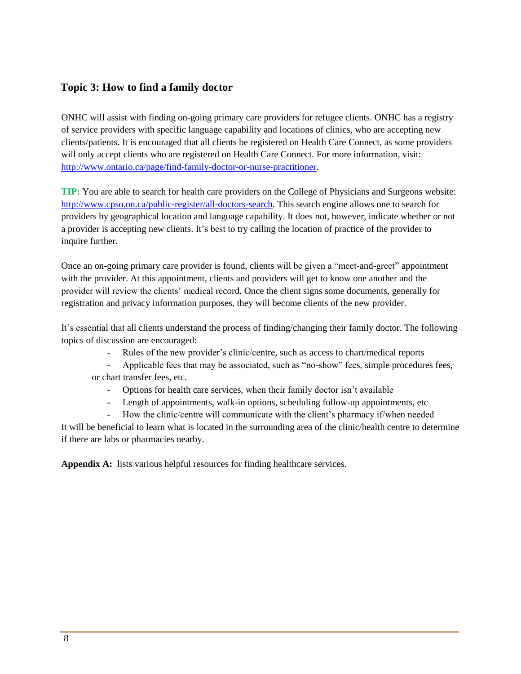# <span id="page-7-0"></span>**Topic 3: How to find a family doctor**

ONHC will assist with finding on-going primary care providers for refugee clients. ONHC has a registry of service providers with specific language capability and locations of clinics, who are accepting new clients/patients. It is encouraged that all clients be registered on Health Care Connect, as some providers will only accept clients who are registered on Health Care Connect. For more information, visit: [http://www.ontario.ca/page/find-family-doctor-or-nurse-practitioner.](http://www.ontario.ca/page/find-family-doctor-or-nurse-practitioner)

**TIP:** You are able to search for health care providers on the College of Physicians and Surgeons website: [http://www.cpso.on.ca/public-register/all-doctors-search.](http://www.cpso.on.ca/public-register/all-doctors-search) This search engine allows one to search for providers by geographical location and language capability. It does not, however, indicate whether or not a provider is accepting new clients. It's best to try calling the location of practice of the provider to inquire further.

Once an on-going primary care provider is found, clients will be given a "meet-and-greet" appointment with the provider. At this appointment, clients and providers will get to know one another and the provider will review the clients' medical record. Once the client signs some documents, generally for registration and privacy information purposes, they will become clients of the new provider.

It's essential that all clients understand the process of finding/changing their family doctor. The following topics of discussion are encouraged:

- Rules of the new provider's clinic/centre, such as access to chart/medical reports
- Applicable fees that may be associated, such as "no-show" fees, simple procedures fees,

or chart transfer fees, etc.

- Options for health care services, when their family doctor isn't available
- Length of appointments, walk-in options, scheduling follow-up appointments, etc
- How the clinic/centre will communicate with the client's pharmacy if/when needed

It will be beneficial to learn what is located in the surrounding area of the clinic/health centre to determine if there are labs or pharmacies nearby.

**Appendix A:** lists various helpful resources for finding healthcare services.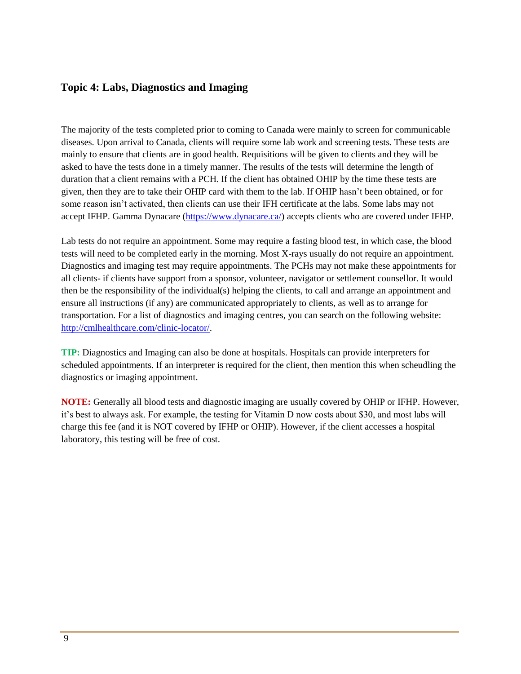## <span id="page-8-0"></span>**Topic 4: Labs, Diagnostics and Imaging**

The majority of the tests completed prior to coming to Canada were mainly to screen for communicable diseases. Upon arrival to Canada, clients will require some lab work and screening tests. These tests are mainly to ensure that clients are in good health. Requisitions will be given to clients and they will be asked to have the tests done in a timely manner. The results of the tests will determine the length of duration that a client remains with a PCH. If the client has obtained OHIP by the time these tests are given, then they are to take their OHIP card with them to the lab. If OHIP hasn't been obtained, or for some reason isn't activated, then clients can use their IFH certificate at the labs. Some labs may not accept IFHP. Gamma Dynacare [\(https://www.dynacare.ca/\)](https://www.dynacare.ca/) accepts clients who are covered under IFHP.

Lab tests do not require an appointment. Some may require a fasting blood test, in which case, the blood tests will need to be completed early in the morning. Most X-rays usually do not require an appointment. Diagnostics and imaging test may require appointments. The PCHs may not make these appointments for all clients- if clients have support from a sponsor, volunteer, navigator or settlement counsellor. It would then be the responsibility of the individual(s) helping the clients, to call and arrange an appointment and ensure all instructions (if any) are communicated appropriately to clients, as well as to arrange for transportation. For a list of diagnostics and imaging centres, you can search on the following website: [http://cmlhealthcare.com/clinic-locator/.](http://cmlhealthcare.com/clinic-locator/)

**TIP:** Diagnostics and Imaging can also be done at hospitals. Hospitals can provide interpreters for scheduled appointments. If an interpreter is required for the client, then mention this when scheudling the diagnostics or imaging appointment.

**NOTE:** Generally all blood tests and diagnostic imaging are usually covered by OHIP or IFHP. However, it's best to always ask. For example, the testing for Vitamin D now costs about \$30, and most labs will charge this fee (and it is NOT covered by IFHP or OHIP). However, if the client accesses a hospital laboratory, this testing will be free of cost.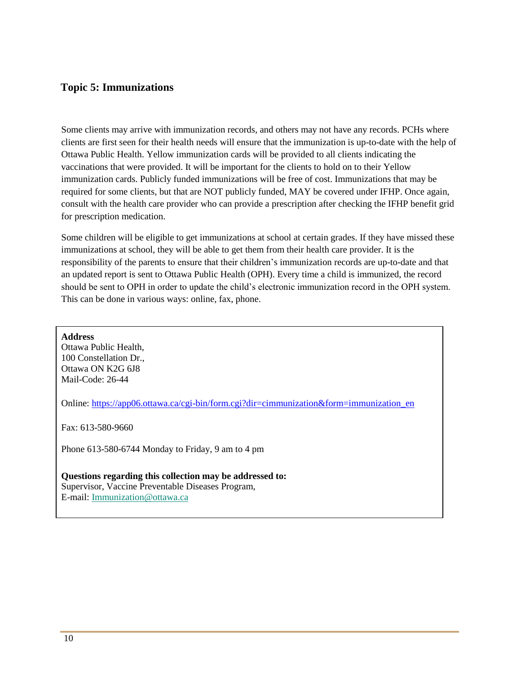## <span id="page-9-0"></span>**Topic 5: Immunizations**

Some clients may arrive with immunization records, and others may not have any records. PCHs where clients are first seen for their health needs will ensure that the immunization is up-to-date with the help of Ottawa Public Health. Yellow immunization cards will be provided to all clients indicating the vaccinations that were provided. It will be important for the clients to hold on to their Yellow immunization cards. Publicly funded immunizations will be free of cost. Immunizations that may be required for some clients, but that are NOT publicly funded, MAY be covered under IFHP. Once again, consult with the health care provider who can provide a prescription after checking the IFHP benefit grid for prescription medication.

Some children will be eligible to get immunizations at school at certain grades. If they have missed these immunizations at school, they will be able to get them from their health care provider. It is the responsibility of the parents to ensure that their children's immunization records are up-to-date and that an updated report is sent to Ottawa Public Health (OPH). Every time a child is immunized, the record should be sent to OPH in order to update the child's electronic immunization record in the OPH system. This can be done in various ways: online, fax, phone.

**Address**

Ottawa Public Health, 100 Constellation Dr., Ottawa ON K2G 6J8 Mail-Code: 26-44

Online[: https://app06.ottawa.ca/cgi-bin/form.cgi?dir=cimmunization&form=immunization\\_en](https://app06.ottawa.ca/cgi-bin/form.cgi?dir=cimmunization&form=immunization_en)

Fax: 613-580-9660

Phone 613-580-6744 Monday to Friday, 9 am to 4 pm

<span id="page-9-1"></span>**Questions regarding this collection may be addressed to:** Supervisor, Vaccine Preventable Diseases Program, E-mail: [Immunization@ottawa.ca](mailto:Immunization@ottawa.ca)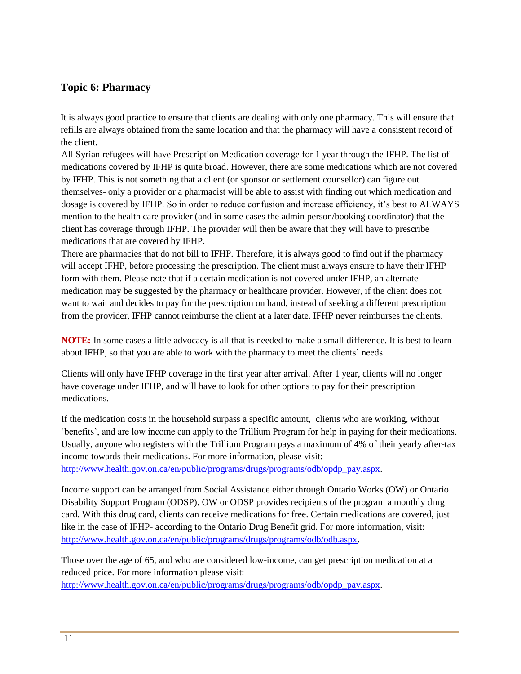# **Topic 6: Pharmacy**

It is always good practice to ensure that clients are dealing with only one pharmacy. This will ensure that refills are always obtained from the same location and that the pharmacy will have a consistent record of the client.

All Syrian refugees will have Prescription Medication coverage for 1 year through the IFHP. The list of medications covered by IFHP is quite broad. However, there are some medications which are not covered by IFHP. This is not something that a client (or sponsor or settlement counsellor) can figure out themselves- only a provider or a pharmacist will be able to assist with finding out which medication and dosage is covered by IFHP. So in order to reduce confusion and increase efficiency, it's best to ALWAYS mention to the health care provider (and in some cases the admin person/booking coordinator) that the client has coverage through IFHP. The provider will then be aware that they will have to prescribe medications that are covered by IFHP.

There are pharmacies that do not bill to IFHP. Therefore, it is always good to find out if the pharmacy will accept IFHP, before processing the prescription. The client must always ensure to have their IFHP form with them. Please note that if a certain medication is not covered under IFHP, an alternate medication may be suggested by the pharmacy or healthcare provider. However, if the client does not want to wait and decides to pay for the prescription on hand, instead of seeking a different prescription from the provider, IFHP cannot reimburse the client at a later date. IFHP never reimburses the clients.

**NOTE:** In some cases a little advocacy is all that is needed to make a small difference. It is best to learn about IFHP, so that you are able to work with the pharmacy to meet the clients' needs.

Clients will only have IFHP coverage in the first year after arrival. After 1 year, clients will no longer have coverage under IFHP, and will have to look for other options to pay for their prescription medications.

If the medication costs in the household surpass a specific amount, clients who are working, without 'benefits', and are low income can apply to the Trillium Program for help in paying for their medications. Usually, anyone who registers with the Trillium Program pays a maximum of 4% of their yearly after-tax income towards their medications. For more information, please visit: [http://www.health.gov.on.ca/en/public/programs/drugs/programs/odb/opdp\\_pay.aspx.](http://www.health.gov.on.ca/en/public/programs/drugs/programs/odb/opdp_pay.aspx)

Income support can be arranged from Social Assistance either through Ontario Works (OW) or Ontario Disability Support Program (ODSP). OW or ODSP provides recipients of the program a monthly drug card. With this drug card, clients can receive medications for free. Certain medications are covered, just like in the case of IFHP- according to the Ontario Drug Benefit grid. For more information, visit: [http://www.health.gov.on.ca/en/public/programs/drugs/programs/odb/odb.aspx.](http://www.health.gov.on.ca/en/public/programs/drugs/programs/odb/odb.aspx)

Those over the age of 65, and who are considered low-income, can get prescription medication at a reduced price. For more information please visit: [http://www.health.gov.on.ca/en/public/programs/drugs/programs/odb/opdp\\_pay.aspx.](http://www.health.gov.on.ca/en/public/programs/drugs/programs/odb/opdp_pay.aspx)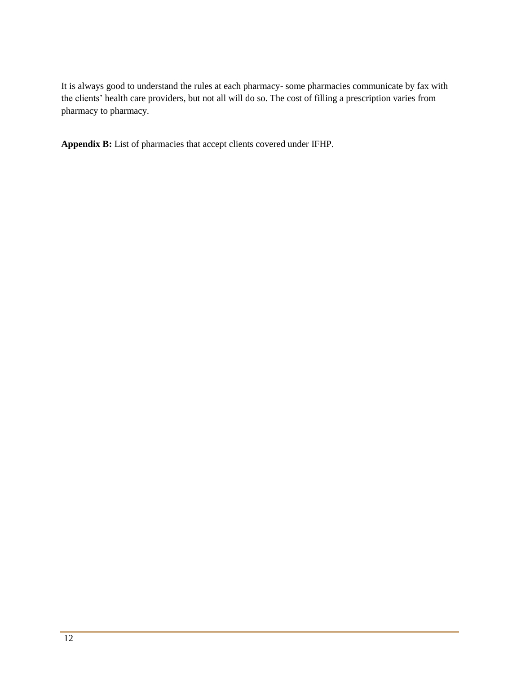It is always good to understand the rules at each pharmacy- some pharmacies communicate by fax with the clients' health care providers, but not all will do so. The cost of filling a prescription varies from pharmacy to pharmacy.

<span id="page-11-0"></span>**Appendix B:** List of pharmacies that accept clients covered under IFHP.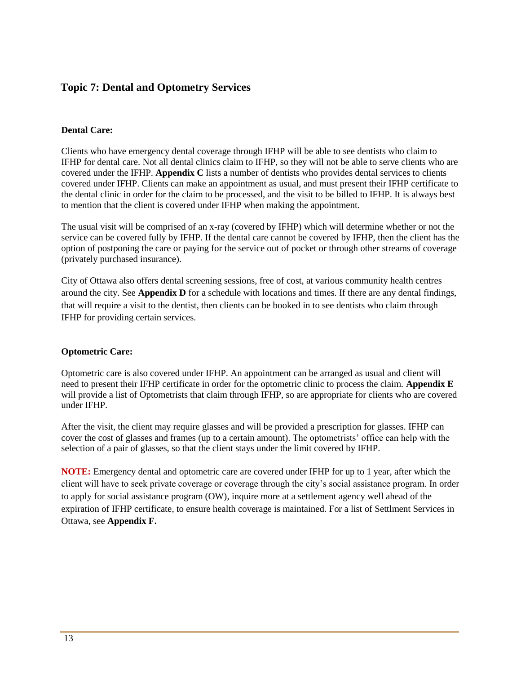## **Topic 7: Dental and Optometry Services**

#### **Dental Care:**

Clients who have emergency dental coverage through IFHP will be able to see dentists who claim to IFHP for dental care. Not all dental clinics claim to IFHP, so they will not be able to serve clients who are covered under the IFHP. **Appendix C** lists a number of dentists who provides dental services to clients covered under IFHP. Clients can make an appointment as usual, and must present their IFHP certificate to the dental clinic in order for the claim to be processed, and the visit to be billed to IFHP. It is always best to mention that the client is covered under IFHP when making the appointment.

The usual visit will be comprised of an x-ray (covered by IFHP) which will determine whether or not the service can be covered fully by IFHP. If the dental care cannot be covered by IFHP, then the client has the option of postponing the care or paying for the service out of pocket or through other streams of coverage (privately purchased insurance).

City of Ottawa also offers dental screening sessions, free of cost, at various community health centres around the city. See **Appendix D** for a schedule with locations and times. If there are any dental findings, that will require a visit to the dentist, then clients can be booked in to see dentists who claim through IFHP for providing certain services.

#### **Optometric Care:**

Optometric care is also covered under IFHP. An appointment can be arranged as usual and client will need to present their IFHP certificate in order for the optometric clinic to process the claim. **Appendix E** will provide a list of Optometrists that claim through IFHP, so are appropriate for clients who are covered under IFHP.

After the visit, the client may require glasses and will be provided a prescription for glasses. IFHP can cover the cost of glasses and frames (up to a certain amount). The optometrists' office can help with the selection of a pair of glasses, so that the client stays under the limit covered by IFHP.

**NOTE:** Emergency dental and optometric care are covered under IFHP for up to 1 year, after which the client will have to seek private coverage or coverage through the city's social assistance program. In order to apply for social assistance program (OW), inquire more at a settlement agency well ahead of the expiration of IFHP certificate, to ensure health coverage is maintained. For a list of Settlment Services in Ottawa, see **Appendix F.**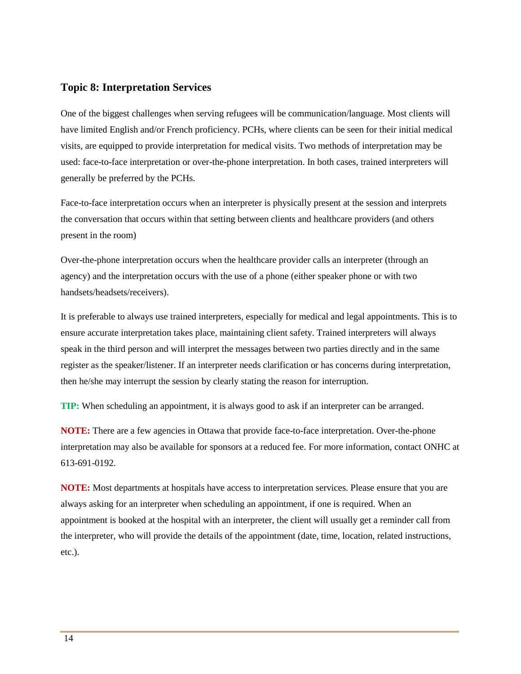#### <span id="page-13-0"></span>**Topic 8: Interpretation Services**

One of the biggest challenges when serving refugees will be communication/language. Most clients will have limited English and/or French proficiency. PCHs, where clients can be seen for their initial medical visits, are equipped to provide interpretation for medical visits. Two methods of interpretation may be used: face-to-face interpretation or over-the-phone interpretation. In both cases, trained interpreters will generally be preferred by the PCHs.

Face-to-face interpretation occurs when an interpreter is physically present at the session and interprets the conversation that occurs within that setting between clients and healthcare providers (and others present in the room)

Over-the-phone interpretation occurs when the healthcare provider calls an interpreter (through an agency) and the interpretation occurs with the use of a phone (either speaker phone or with two handsets/headsets/receivers).

It is preferable to always use trained interpreters, especially for medical and legal appointments. This is to ensure accurate interpretation takes place, maintaining client safety. Trained interpreters will always speak in the third person and will interpret the messages between two parties directly and in the same register as the speaker/listener. If an interpreter needs clarification or has concerns during interpretation, then he/she may interrupt the session by clearly stating the reason for interruption.

**TIP:** When scheduling an appointment, it is always good to ask if an interpreter can be arranged.

**NOTE:** There are a few agencies in Ottawa that provide face-to-face interpretation. Over-the-phone interpretation may also be available for sponsors at a reduced fee. For more information, contact ONHC at 613-691-0192.

**NOTE:** Most departments at hospitals have access to interpretation services. Please ensure that you are always asking for an interpreter when scheduling an appointment, if one is required. When an appointment is booked at the hospital with an interpreter, the client will usually get a reminder call from the interpreter, who will provide the details of the appointment (date, time, location, related instructions, etc.).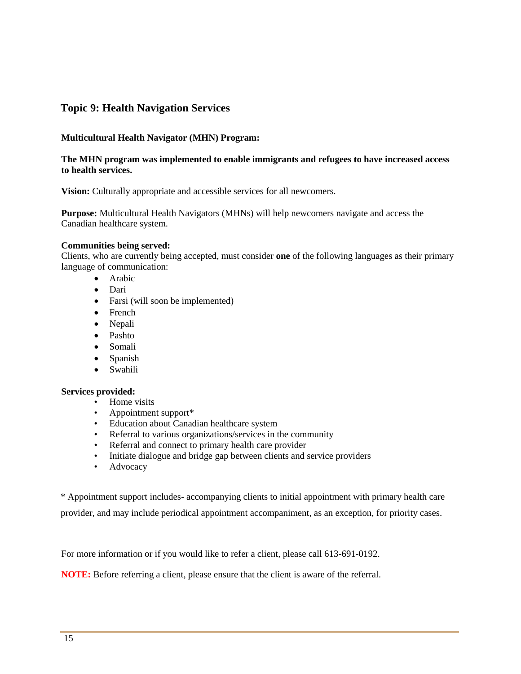## <span id="page-14-0"></span>**Topic 9: Health Navigation Services**

#### **Multicultural Health Navigator (MHN) Program:**

#### **The MHN program was implemented to enable immigrants and refugees to have increased access to health services.**

**Vision:** Culturally appropriate and accessible services for all newcomers.

**Purpose:** Multicultural Health Navigators (MHNs) will help newcomers navigate and access the Canadian healthcare system.

#### **Communities being served:**

Clients, who are currently being accepted, must consider **one** of the following languages as their primary language of communication:

- Arabic
- Dari
- Farsi (will soon be implemented)
- French
- Nepali
- Pashto
- Somali
- Spanish
- Swahili

#### **Services provided:**

- Home visits
- Appointment support\*
- Education about Canadian healthcare system
- Referral to various organizations/services in the community
- Referral and connect to primary health care provider
- Initiate dialogue and bridge gap between clients and service providers
- Advocacy

\* Appointment support includes- accompanying clients to initial appointment with primary health care provider, and may include periodical appointment accompaniment, as an exception, for priority cases.

For more information or if you would like to refer a client, please call 613-691-0192.

**NOTE:** Before referring a client, please ensure that the client is aware of the referral.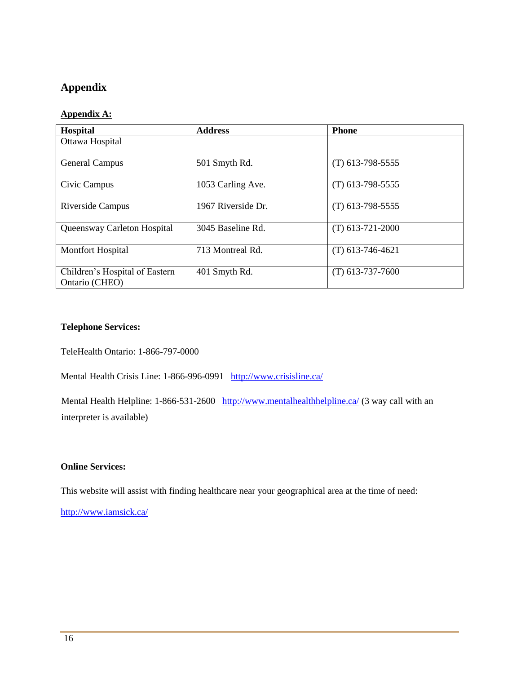# **Appendix**

## **Appendix A:**

| <b>Hospital</b>                | <b>Address</b>     | <b>Phone</b>       |
|--------------------------------|--------------------|--------------------|
| Ottawa Hospital                |                    |                    |
|                                |                    |                    |
| <b>General Campus</b>          | 501 Smyth Rd.      | $(T)$ 613-798-5555 |
|                                |                    |                    |
| Civic Campus                   | 1053 Carling Ave.  | $(T)$ 613-798-5555 |
|                                |                    |                    |
| Riverside Campus               | 1967 Riverside Dr. | $(T)$ 613-798-5555 |
|                                |                    |                    |
| Queensway Carleton Hospital    | 3045 Baseline Rd.  | $(T)$ 613-721-2000 |
|                                |                    |                    |
| Montfort Hospital              | 713 Montreal Rd.   | $(T)$ 613-746-4621 |
|                                |                    |                    |
| Children's Hospital of Eastern | 401 Smyth Rd.      | $(T)$ 613-737-7600 |
| Ontario (CHEO)                 |                    |                    |

#### **Telephone Services:**

TeleHealth Ontario: 1-866-797-0000

Mental Health Crisis Line: 1-866-996-0991 <http://www.crisisline.ca/>

Mental Health Helpline: 1-866-531-2600 <http://www.mentalhealthhelpline.ca/> (3 way call with an interpreter is available)

## **Online Services:**

This website will assist with finding healthcare near your geographical area at the time of need:

<http://www.iamsick.ca/>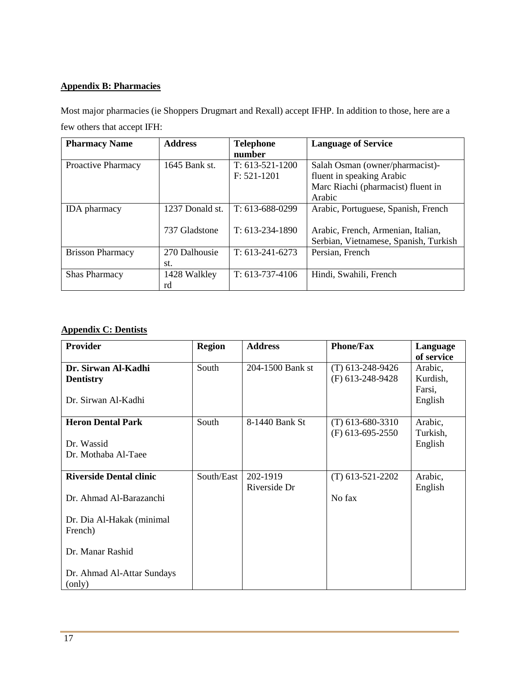## **Appendix B: Pharmacies**

Most major pharmacies (ie Shoppers Drugmart and Rexall) accept IFHP. In addition to those, here are a few others that accept IFH:

| <b>Pharmacy Name</b>      | <b>Address</b>  | <b>Telephone</b><br>number | <b>Language of Service</b>            |
|---------------------------|-----------------|----------------------------|---------------------------------------|
| <b>Proactive Pharmacy</b> | 1645 Bank st.   | $T: 613-521-1200$          | Salah Osman (owner/pharmacist)-       |
|                           |                 | $F: 521-1201$              | fluent in speaking Arabic             |
|                           |                 |                            | Marc Riachi (pharmacist) fluent in    |
|                           |                 |                            | Arabic                                |
| <b>IDA</b> pharmacy       | 1237 Donald st. | $T: 613-688-0299$          | Arabic, Portuguese, Spanish, French   |
|                           | 737 Gladstone   | $T: 613-234-1890$          | Arabic, French, Armenian, Italian,    |
|                           |                 |                            | Serbian, Vietnamese, Spanish, Turkish |
| <b>Brisson Pharmacy</b>   | 270 Dalhousie   | $T: 613-241-6273$          | Persian, French                       |
|                           | st.             |                            |                                       |
| <b>Shas Pharmacy</b>      | 1428 Walkley    | $T: 613-737-4106$          | Hindi, Swahili, French                |
|                           | rd              |                            |                                       |

## **Appendix C: Dentists**

| <b>Provider</b>                                                                                                                                               | <b>Region</b> | <b>Address</b>           | <b>Phone/Fax</b>                         | Language<br>of service                   |
|---------------------------------------------------------------------------------------------------------------------------------------------------------------|---------------|--------------------------|------------------------------------------|------------------------------------------|
| Dr. Sirwan Al-Kadhi<br><b>Dentistry</b><br>Dr. Sirwan Al-Kadhi                                                                                                | South         | 204-1500 Bank st         | $(T)$ 613-248-9426<br>$(F)$ 613-248-9428 | Arabic,<br>Kurdish,<br>Farsi,<br>English |
| <b>Heron Dental Park</b><br>Dr. Wassid<br>Dr. Mothaba Al-Taee                                                                                                 | South         | 8-1440 Bank St           | $(T)$ 613-680-3310<br>$(F)$ 613-695-2550 | Arabic,<br>Turkish,<br>English           |
| <b>Riverside Dental clinic</b><br>Dr. Ahmad Al-Barazanchi<br>Dr. Dia Al-Hakak (minimal<br>French)<br>Dr. Manar Rashid<br>Dr. Ahmad Al-Attar Sundays<br>(only) | South/East    | 202-1919<br>Riverside Dr | $(T)$ 613-521-2202<br>No fax             | Arabic,<br>English                       |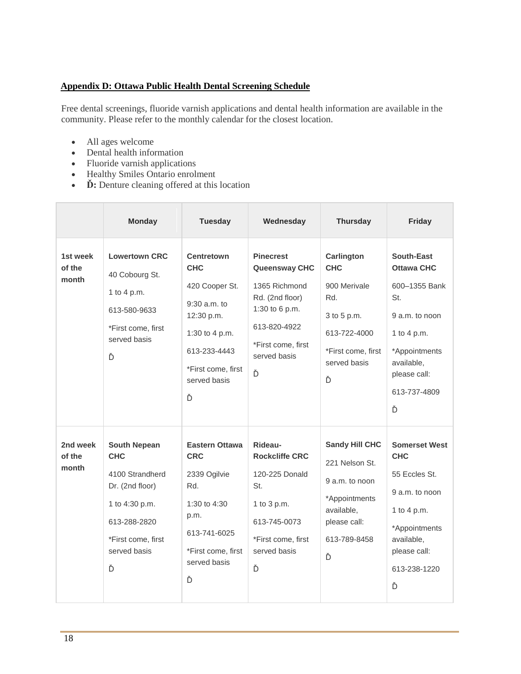## **Appendix D: Ottawa Public Health Dental Screening Schedule**

Free dental screenings, fluoride varnish applications and dental health information are available in the community. Please refer to the monthly calendar for the closest location.

- All ages welcome
- Dental health information
- Fluoride varnish applications
- Healthy Smiles Ontario enrolment
- **Ď:** Denture cleaning offered at this location

|                             | <b>Monday</b>                                                                                                                                        | <b>Tuesday</b>                                                                                                                                                 | Wednesday                                                                                                                                          | <b>Thursday</b>                                                                                                               | <b>Friday</b>                                                                                                                                                |
|-----------------------------|------------------------------------------------------------------------------------------------------------------------------------------------------|----------------------------------------------------------------------------------------------------------------------------------------------------------------|----------------------------------------------------------------------------------------------------------------------------------------------------|-------------------------------------------------------------------------------------------------------------------------------|--------------------------------------------------------------------------------------------------------------------------------------------------------------|
| 1st week<br>of the<br>month | <b>Lowertown CRC</b><br>40 Cobourg St.<br>1 to 4 p.m.<br>613-580-9633<br>*First come, first<br>served basis<br>Ď                                     | <b>Centretown</b><br><b>CHC</b><br>420 Cooper St.<br>$9:30$ a.m. to<br>12:30 p.m.<br>1:30 to 4 p.m.<br>613-233-4443<br>*First come, first<br>served basis<br>Ď | <b>Pinecrest</b><br>Queensway CHC<br>1365 Richmond<br>Rd. (2nd floor)<br>1:30 to 6 p.m.<br>613-820-4922<br>*First come, first<br>served basis<br>Ď | Carlington<br><b>CHC</b><br>900 Merivale<br>Rd.<br>3 to 5 p.m.<br>613-722-4000<br>*First come, first<br>served basis<br>Ď     | South-East<br><b>Ottawa CHC</b><br>600-1355 Bank<br>St.<br>9 a.m. to noon<br>1 to 4 p.m.<br>*Appointments<br>available,<br>please call:<br>613-737-4809<br>Ď |
| 2nd week<br>of the<br>month | <b>South Nepean</b><br><b>CHC</b><br>4100 Strandherd<br>Dr. (2nd floor)<br>1 to 4:30 p.m.<br>613-288-2820<br>*First come, first<br>served basis<br>Ď | <b>Eastern Ottawa</b><br><b>CRC</b><br>2339 Ogilvie<br>Rd.<br>1:30 to 4:30<br>p.m.<br>613-741-6025<br>*First come, first<br>served basis<br>Ď                  | Rideau-<br><b>Rockcliffe CRC</b><br>120-225 Donald<br>St.<br>1 to 3 p.m.<br>613-745-0073<br>*First come, first<br>served basis<br>Ď                | <b>Sandy Hill CHC</b><br>221 Nelson St.<br>9 a.m. to noon<br>*Appointments<br>available,<br>please call:<br>613-789-8458<br>Ď | <b>Somerset West</b><br><b>CHC</b><br>55 Eccles St.<br>9 a.m. to noon<br>1 to 4 p.m.<br>*Appointments<br>available,<br>please call:<br>613-238-1220<br>Ď     |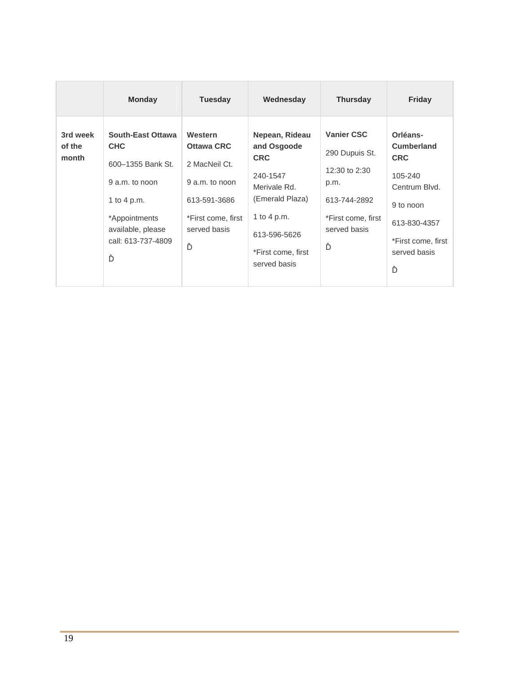|                             | <b>Monday</b>                                                                                                                                                 | <b>Tuesday</b>                                                                                                             | Wednesday                                                                                                                                                       | <b>Thursday</b>                                                                                                         | Friday                                                                                                                                          |
|-----------------------------|---------------------------------------------------------------------------------------------------------------------------------------------------------------|----------------------------------------------------------------------------------------------------------------------------|-----------------------------------------------------------------------------------------------------------------------------------------------------------------|-------------------------------------------------------------------------------------------------------------------------|-------------------------------------------------------------------------------------------------------------------------------------------------|
| 3rd week<br>of the<br>month | <b>South-East Ottawa</b><br><b>CHC</b><br>600-1355 Bank St.<br>9 a.m. to noon<br>1 to 4 p.m.<br>*Appointments<br>available, please<br>call: 613-737-4809<br>Ď | Western<br><b>Ottawa CRC</b><br>2 MacNeil Ct.<br>9 a.m. to noon<br>613-591-3686<br>*First come, first<br>served basis<br>Ď | Nepean, Rideau<br>and Osgoode<br><b>CRC</b><br>240-1547<br>Merivale Rd.<br>(Emerald Plaza)<br>1 to 4 p.m.<br>613-596-5626<br>*First come, first<br>served basis | <b>Vanier CSC</b><br>290 Dupuis St.<br>12:30 to 2:30<br>p.m.<br>613-744-2892<br>*First come, first<br>served basis<br>Ď | Orléans-<br><b>Cumberland</b><br><b>CRC</b><br>105-240<br>Centrum Blvd.<br>9 to noon<br>613-830-4357<br>*First come, first<br>served basis<br>Ď |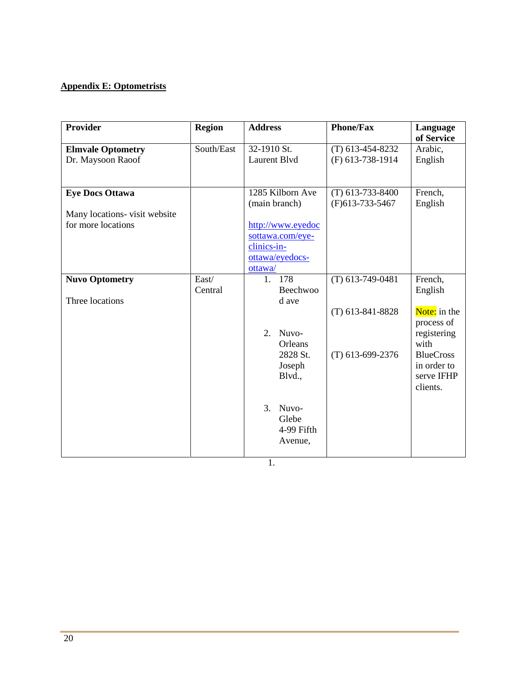## **Appendix E: Optometrists**

| <b>Provider</b>               | <b>Region</b> | <b>Address</b>                    | <b>Phone/Fax</b>                      | Language<br>of Service |
|-------------------------------|---------------|-----------------------------------|---------------------------------------|------------------------|
| <b>Elmvale Optometry</b>      | South/East    | 32-1910 St.                       | $(T)$ 613-454-8232                    | Arabic,                |
| Dr. Maysoon Raoof             |               | <b>Laurent Blvd</b>               | (F) 613-738-1914                      | English                |
|                               |               |                                   |                                       |                        |
| <b>Eye Docs Ottawa</b>        |               | 1285 Kilborn Ave<br>(main branch) | $(T)$ 613-733-8400<br>(F)613-733-5467 | French,                |
| Many locations- visit website |               |                                   |                                       | English                |
| for more locations            |               | http://www.eyedoc                 |                                       |                        |
|                               |               | sottawa.com/eye-                  |                                       |                        |
|                               |               | clinics-in-                       |                                       |                        |
|                               |               | ottawa/eyedocs-                   |                                       |                        |
|                               |               | ottawa/                           |                                       |                        |
| <b>Nuvo Optometry</b>         | East/         | 1. 178                            | $(T)$ 613-749-0481                    | French,                |
| Three locations               | Central       | Beechwoo<br>d ave                 |                                       | English                |
|                               |               |                                   | $(T)$ 613-841-8828                    | Note: in the           |
|                               |               |                                   |                                       | process of             |
|                               |               | Nuvo-<br>2.<br>Orleans            |                                       | registering<br>with    |
|                               |               | 2828 St.                          | $(T)$ 613-699-2376                    | <b>BlueCross</b>       |
|                               |               | Joseph                            |                                       | in order to            |
|                               |               | Blvd.,                            |                                       | serve IFHP             |
|                               |               |                                   |                                       | clients.               |
|                               |               | 3.<br>Nuvo-                       |                                       |                        |
|                               |               | Glebe                             |                                       |                        |
|                               |               | 4-99 Fifth                        |                                       |                        |
|                               |               | Avenue,                           |                                       |                        |
|                               |               |                                   |                                       |                        |

1.